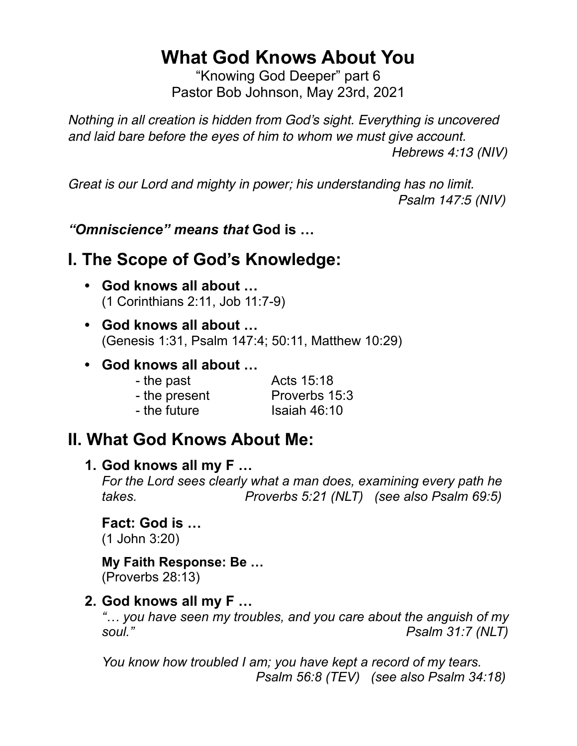# **What God Knows About You**

"Knowing God Deeper" part 6 Pastor Bob Johnson, May 23rd, 2021

*Nothing in all creation is hidden from God's sight. Everything is uncovered and laid bare before the eyes of him to whom we must give account. Hebrews 4:13 (NIV)* 

*Great is our Lord and mighty in power; his understanding has no limit. Psalm 147:5 (NIV)* 

*"Omniscience" means that* **God is …**

### **I. The Scope of God's Knowledge:**

- **God knows all about …** (1 Corinthians 2:11, Job 11:7-9)
- **God knows all about …** (Genesis 1:31, Psalm 147:4; 50:11, Matthew 10:29)
- **God knows all about …**

| - the past    | Acts 15:18     |
|---------------|----------------|
| - the present | Proverbs 15:3  |
| - the future  | Isaiah $46:10$ |

### **II. What God Knows About Me:**

#### **1. God knows all my F …**

*For the Lord sees clearly what a man does, examining every path he takes. Proverbs 5:21 (NLT) (see also Psalm 69:5)*

**Fact: God is …** 

(1 John 3:20)

#### **My Faith Response: Be …**

(Proverbs 28:13)

#### **2. God knows all my F …**

*"… you have seen my troubles, and you care about the anguish of my soul." Psalm 31:7 (NLT)*

*You know how troubled I am; you have kept a record of my tears. Psalm 56:8 (TEV) (see also Psalm 34:18)*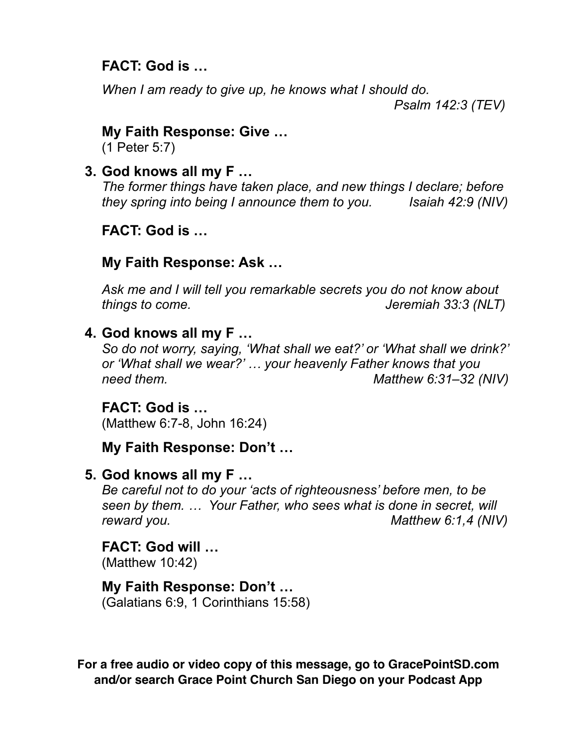#### **FACT: God is …**

*When I am ready to give up, he knows what I should do. Psalm 142:3 (TEV)*

#### **My Faith Response: Give …**

(1 Peter 5:7)

**3. God knows all my F …**

*The former things have taken place, and new things I declare; before they spring into being I announce them to you. Isaiah 42:9 (NIV)*

#### **FACT: God is …**

#### **My Faith Response: Ask …**

*Ask me and I will tell you remarkable secrets you do not know about things to come. Jeremiah 33:3 (NLT)*

#### **4. God knows all my F …**

*So do not worry, saying, 'What shall we eat?' or 'What shall we drink?' or 'What shall we wear?' … your heavenly Father knows that you need them. Matthew 6:31–32 (NIV)*

#### **FACT: God is …**

(Matthew 6:7-8, John 16:24)

#### **My Faith Response: Don't …**

#### **5. God knows all my F …**

*Be careful not to do your 'acts of righteousness' before men, to be seen by them. … Your Father, who sees what is done in secret, will reward you. Matthew 6:1,4 (NIV)*

# **FACT: God will …**

(Matthew 10:42)

#### **My Faith Response: Don't …**

(Galatians 6:9, 1 Corinthians 15:58)

**For a free audio or video copy of this message, go to GracePointSD.com and/or search Grace Point Church San Diego on your Podcast App**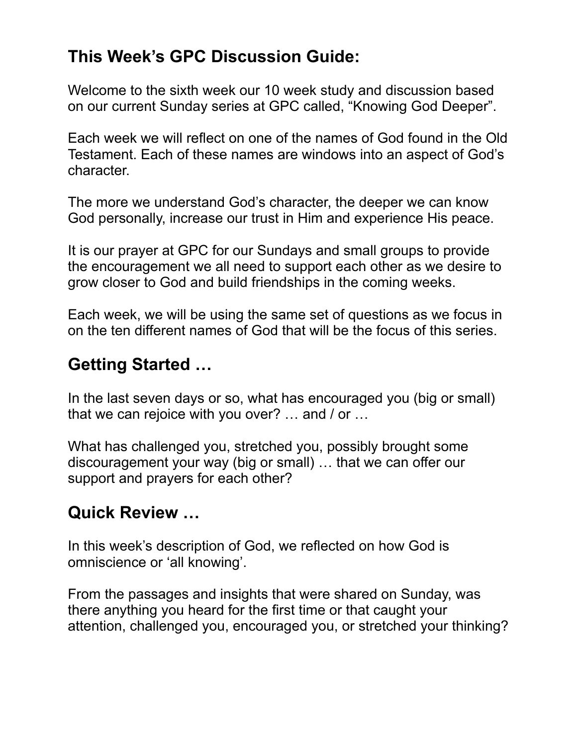# **This Week's GPC Discussion Guide:**

Welcome to the sixth week our 10 week study and discussion based on our current Sunday series at GPC called, "Knowing God Deeper".

Each week we will reflect on one of the names of God found in the Old Testament. Each of these names are windows into an aspect of God's character.

The more we understand God's character, the deeper we can know God personally, increase our trust in Him and experience His peace.

It is our prayer at GPC for our Sundays and small groups to provide the encouragement we all need to support each other as we desire to grow closer to God and build friendships in the coming weeks.

Each week, we will be using the same set of questions as we focus in on the ten different names of God that will be the focus of this series.

### **Getting Started …**

In the last seven days or so, what has encouraged you (big or small) that we can rejoice with you over? … and / or …

What has challenged you, stretched you, possibly brought some discouragement your way (big or small) … that we can offer our support and prayers for each other?

### **Quick Review …**

In this week's description of God, we reflected on how God is omniscience or 'all knowing'.

From the passages and insights that were shared on Sunday, was there anything you heard for the first time or that caught your attention, challenged you, encouraged you, or stretched your thinking?